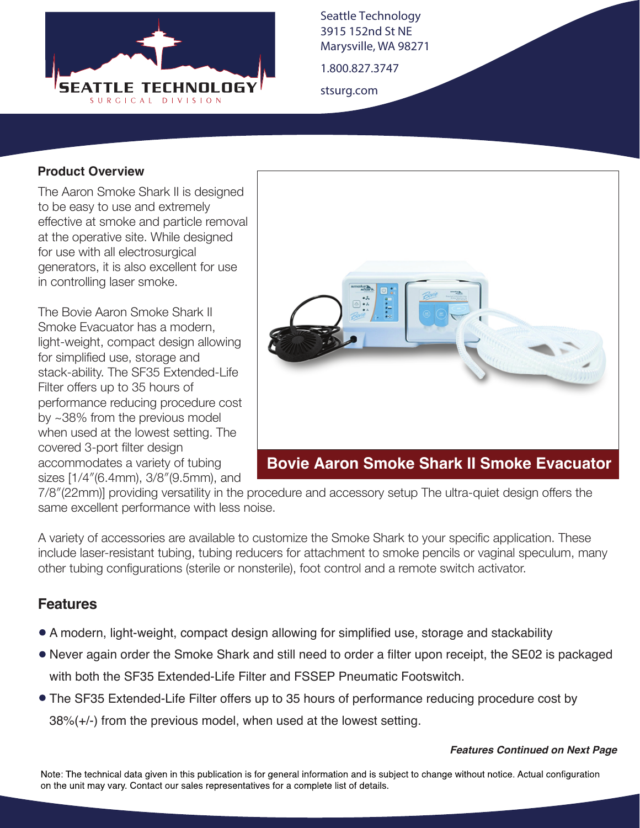

Seattle Technology 3915 152nd St NE Marysville, WA 98271

1.800.827.3747

stsurg.com

#### **Product Overview**

The Aaron Smoke Shark II is designed to be easy to use and extremely effective at smoke and particle removal at the operative site. While designed for use with all electrosurgical generators, it is also excellent for use in controlling laser smoke.

The Bovie Aaron Smoke Shark II Smoke Evacuator has a modern, light-weight, compact design allowing for simplified use, storage and stack-ability. The SF35 Extended-Life Filter offers up to 35 hours of performance reducing procedure cost by ~38% from the previous model when used at the lowest setting. The covered 3-port filter design accommodates a variety of tubing sizes [1/4″(6.4mm), 3/8″(9.5mm), and



# **Bovie Aaron Smoke Shark II Smoke Evacuator**

7/8″(22mm)] providing versatility in the procedure and accessory setup The ultra-quiet design offers the same excellent performance with less noise.

A variety of accessories are available to customize the Smoke Shark to your specific application. These include laser-resistant tubing, tubing reducers for attachment to smoke pencils or vaginal speculum, many other tubing configurations (sterile or nonsterile), foot control and a remote switch activator.

## **Features**

- A modern, light-weight, compact design allowing for simplified use, storage and stackability
- Never again order the Smoke Shark and still need to order a filter upon receipt, the SE02 is packaged with both the SF35 Extended-Life Filter and FSSEP Pneumatic Footswitch.
- The SF35 Extended-Life Filter offers up to 35 hours of performance reducing procedure cost by 38%(+/-) from the previous model, when used at the lowest setting.

#### *Features Continued on Next Page*

Note: The technical data given in this publication is for general information and is subject to change without notice. Actual configuration on the unit may vary. Contact our sales representatives for a complete list of details.